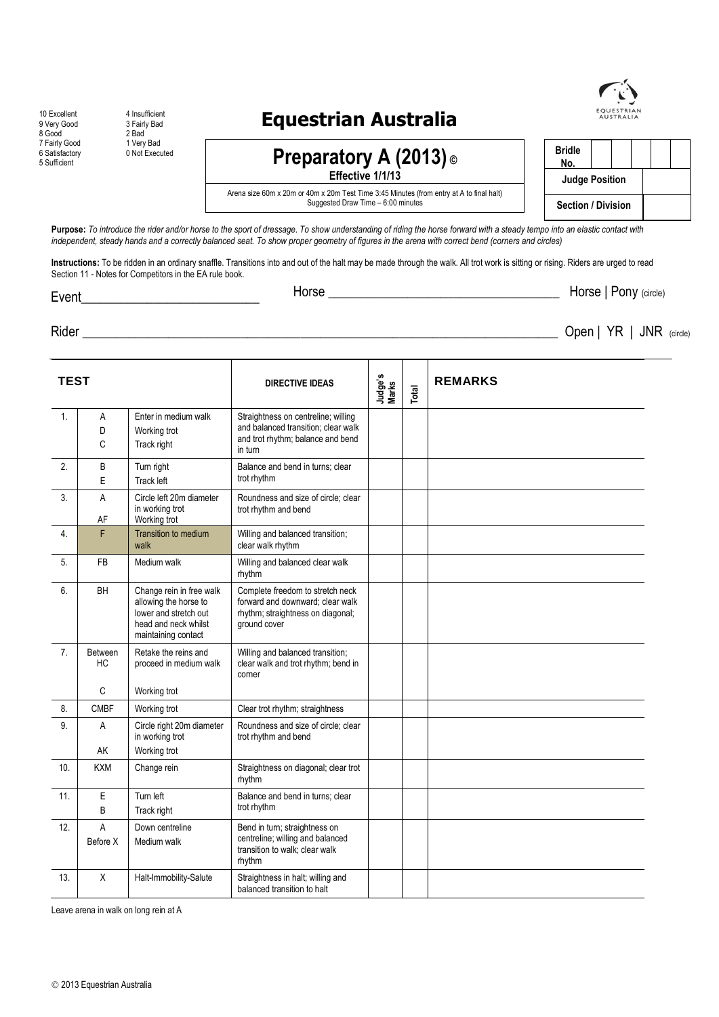### **201855;675,362:62&7< (66\$7(676)**

10 Excellent 4 Insufficient 9 Very Good 3 Fairly Bad 8 Good 2 Bad 7 Fairly Good 1 Very Bad 5 Sufficient

9 Bad<br>2 Bad<br>1 Very Bad<br>0 Not Executed

### **Preparatory A (2013) ©**

### **:\$/.7527**



Arena size 60m x 20m or 40m x 20m Test Time 3:45 Minutes (from entry at A to final halt) Suggested Draw Time – 6:00 minutes

### 1RWWRFRPSHWHD**DRWKHGUWVDJHHYHQWWWWKLVVKRZ** (9(17 8GHM: \$7527)

Horse \_\_\_\_\_\_\_\_\_\_BBBBB\_\_\_\_\_\_\_\_\_\_\_\_\_\_\_\_\_\_\_\_BBBBBBBBBBBBBBBBBBBBBBBBBBBBBBBBBBBB Horse | Pony (circle)

Rider \_\_\_\_\_\_\_\_\_\_\_\_\_\_\_\_\_\_\_\_\_\_\_\_\_\_\_\_\_\_\_\_\_\_\_\_\_\_\_\_\_\_\_\_\_\_\_\_\_\_\_\_\_\_\_\_\_\_\_\_\_\_\_\_\_\_\_\_\_\_\_\_

| <b>TEST</b>      |                |                                                                                                                           | <b>DIRECTIVE IDEAS</b>                                                                                                    | Judge's<br>Marks | Total | <b>REMARKS</b> |
|------------------|----------------|---------------------------------------------------------------------------------------------------------------------------|---------------------------------------------------------------------------------------------------------------------------|------------------|-------|----------------|
| 1.               | Α              | Enter in medium walk                                                                                                      | Straightness on centreline; willing                                                                                       |                  |       |                |
|                  | D              | Working trot                                                                                                              | and balanced transition; clear walk                                                                                       |                  |       |                |
|                  | C              | Track right                                                                                                               | and trot rhythm; balance and bend<br>in turn                                                                              |                  |       |                |
| 2.               | B              | Turn right                                                                                                                | Balance and bend in turns; clear                                                                                          |                  |       |                |
|                  | E              | Track left                                                                                                                | trot rhythm                                                                                                               |                  |       |                |
| 3.               | A<br>AF        | Circle left 20m diameter<br>in working trot<br>Working trot                                                               | Roundness and size of circle; clear<br>trot rhythm and bend                                                               |                  |       |                |
| 4.               | F              | <b>Transition to medium</b><br>walk                                                                                       | Willing and balanced transition;<br>clear walk rhythm                                                                     |                  |       |                |
| 5.               | <b>FB</b>      | Medium walk                                                                                                               | Willing and balanced clear walk<br>rhythm                                                                                 |                  |       |                |
| 6.               | BH             | Change rein in free walk<br>allowing the horse to<br>lower and stretch out<br>head and neck whilst<br>maintaining contact | Complete freedom to stretch neck<br>forward and downward; clear walk<br>rhythm; straightness on diagonal;<br>ground cover |                  |       |                |
| $\overline{7}$ . | Between<br>НC  | Retake the reins and<br>proceed in medium walk                                                                            | Willing and balanced transition;<br>clear walk and trot rhythm; bend in<br>corner                                         |                  |       |                |
|                  | C              | Working trot                                                                                                              |                                                                                                                           |                  |       |                |
| 8.               | <b>CMBF</b>    | Working trot                                                                                                              | Clear trot rhythm; straightness                                                                                           |                  |       |                |
| 9.               | A              | Circle right 20m diameter<br>in working trot                                                                              | Roundness and size of circle; clear<br>trot rhythm and bend                                                               |                  |       |                |
|                  | AK             | Working trot                                                                                                              |                                                                                                                           |                  |       |                |
| 10.              | <b>KXM</b>     | Change rein                                                                                                               | Straightness on diagonal; clear trot<br>rhythm                                                                            |                  |       |                |
| 11.              | E              | Tum left                                                                                                                  | Balance and bend in turns; clear                                                                                          |                  |       |                |
|                  | B              | trot rhythm<br>Track right                                                                                                |                                                                                                                           |                  |       |                |
| 12.              | $\overline{A}$ | Down centreline<br>Bend in turn; straightness on                                                                          |                                                                                                                           |                  |       |                |
|                  | Before X       | Medium walk                                                                                                               | centreline; willing and balanced<br>transition to walk; clear walk<br>rhythm                                              |                  |       |                |
| 13.              | X              | Halt-Immobility-Salute                                                                                                    | Straightness in halt; willing and<br>balanced transition to halt                                                          |                  |       |                |

Leave arena in walk on long rein at A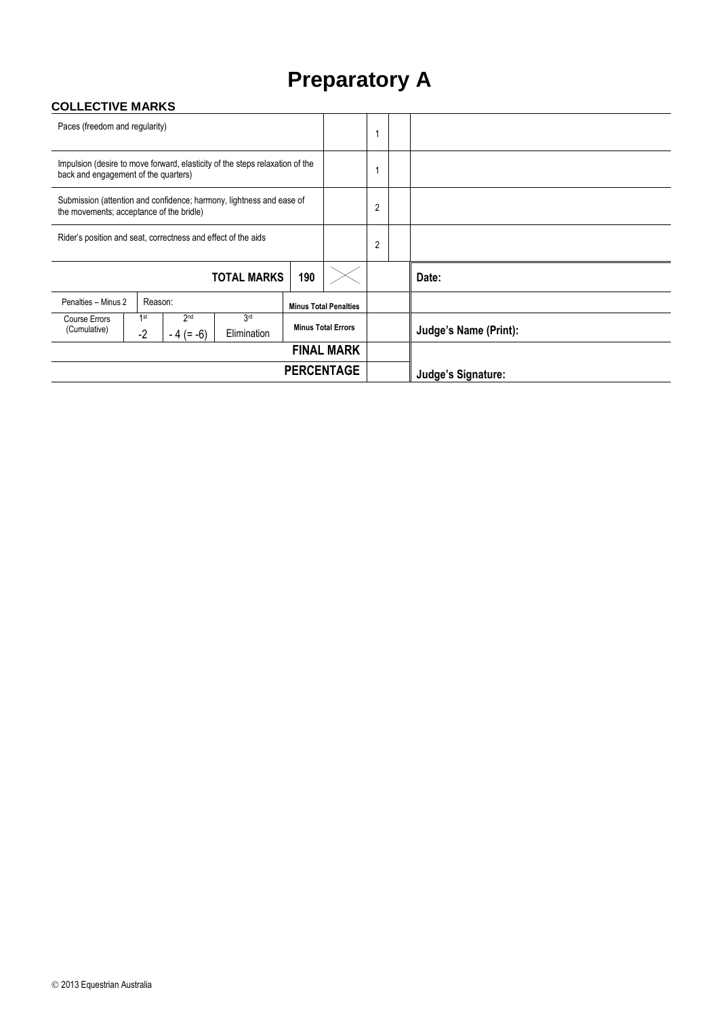## **Preparatory A**

#### **COLLECTIVE MARKS**

| Paces (freedom and regularity)                                                                                       |                    |                                |                              |                           |       |                |                       |
|----------------------------------------------------------------------------------------------------------------------|--------------------|--------------------------------|------------------------------|---------------------------|-------|----------------|-----------------------|
| Impulsion (desire to move forward, elasticity of the steps relaxation of the<br>back and engagement of the quarters) |                    |                                |                              |                           |       |                |                       |
| Submission (attention and confidence; harmony, lightness and ease of<br>the movements; acceptance of the bridle)     |                    |                                |                              |                           |       | 2              |                       |
| Rider's position and seat, correctness and effect of the aids                                                        |                    |                                |                              |                           |       | $\overline{2}$ |                       |
|                                                                                                                      | <b>TOTAL MARKS</b> | 190                            |                              |                           | Date: |                |                       |
| Penalties - Minus 2<br>Reason:                                                                                       |                    |                                | <b>Minus Total Penalties</b> |                           |       |                |                       |
| Course Errors<br>(Cumulative)                                                                                        | 1st<br>$-2$        | 2 <sub>nd</sub><br>$-4 (= -6)$ | 3rd<br>Elimination           | <b>Minus Total Errors</b> |       |                | Judge's Name (Print): |
| <b>FINAL MARK</b>                                                                                                    |                    |                                |                              |                           |       |                |                       |
| <b>PERCENTAGE</b>                                                                                                    |                    |                                |                              |                           |       |                | Judge's Signature:    |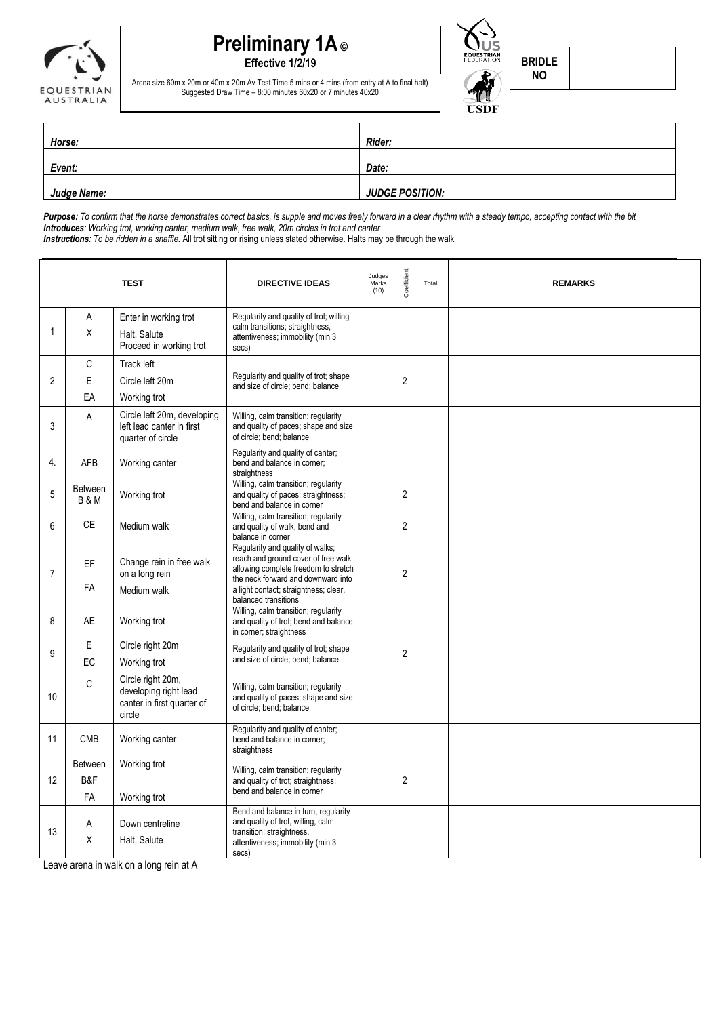# **Preliminary 1A ©**

**Effective 1/2/19**



Arena size 60m x 20m or 40m x 20m Av Test Time 5 mins or 4 mins (from entry at A to final halt) Suggested Draw Time – 8:00 minutes 60x20 or 7 minutes 40x20

| Event: 22 16yrs & Under | <b>Rider:</b>          |  |  |  |  |
|-------------------------|------------------------|--|--|--|--|
| Horse:                  | Date:                  |  |  |  |  |
| Judge Name:             | <b>JUDGE POSITION:</b> |  |  |  |  |

*Purpose: To confirm that the horse demonstrates correct basics, is supple and moves freely forward in a clear rhythm with a steady tempo, accepting contact with the bit Introduces: Working trot, working canter, medium walk, free walk, 20m circles in trot and canter Instructions: To be ridden in a snaffle.* All trot sitting or rising unless stated otherwise. Halts may be through the walk

**TEST DIRECTIVE IDEAS** Judges Marks  $(10)$ Coefficient Total **REMARKS** 1 A X Enter in working trot Halt, Salute Proceed in working trot Regularity and quality of trot; willing calm transitions; straightness, attentiveness; immobility (min 3 secs)  $\mathfrak{2}$ C E EA Track left Circle left 20m Working trot Regularity and quality of trot; shape Regularity and quality of trot; shape<br>and size of circle; bend; balance 3 A Circle left 20m, developing left lead canter in first quarter of circle Willing, calm transition; regularity and quality of paces; shape and size of circle; bend; balance 4. AFB Working canter Regularity and quality of canter; bend and balance in corner; straightness 5 Between B & M Working trot Willing, calm transition; regularity and quality of paces; straightness; bend and balance in corner 2 6 CE Medium walk Willing, calm transition; regularity and quality of walk, bend and balance in corner 2 7 EF FA Change rein in free walk on a long rein Medium walk Regularity and quality of walks; reach and ground cover of free walk allowing complete freedom to stretch the neck forward and downward into a light contact; straightness; clear, balanced transitions 2 8 AE Working trot Willing, calm transition; regularity and quality of trot; bend and balance in corner; straightness 9 E EC Circle right 20m Working trot Regularity and quality of trot; shape Regularity and quality of trot; snape<br>and size of circle; bend; balance 10  $\mathcal{C}$ Circle right 20m, developing right lead canter in first quarter of circle Willing, calm transition; regularity and quality of paces; shape and size of circle; bend; balance 11 CMB Working canter Regularity and quality of canter; bend and balance in corner; straightness 12 Between B&F FA Working trot Working trot Willing, calm transition; regularity and quality of trot; straightness; bend and balance in corner 2 13 A X Down centreline Halt, Salute Bend and balance in turn, regularity and quality of trot, willing, calm transition; straightness, attentiveness; immobility (min 3 secs)

Leave arena in walk on a long rein at A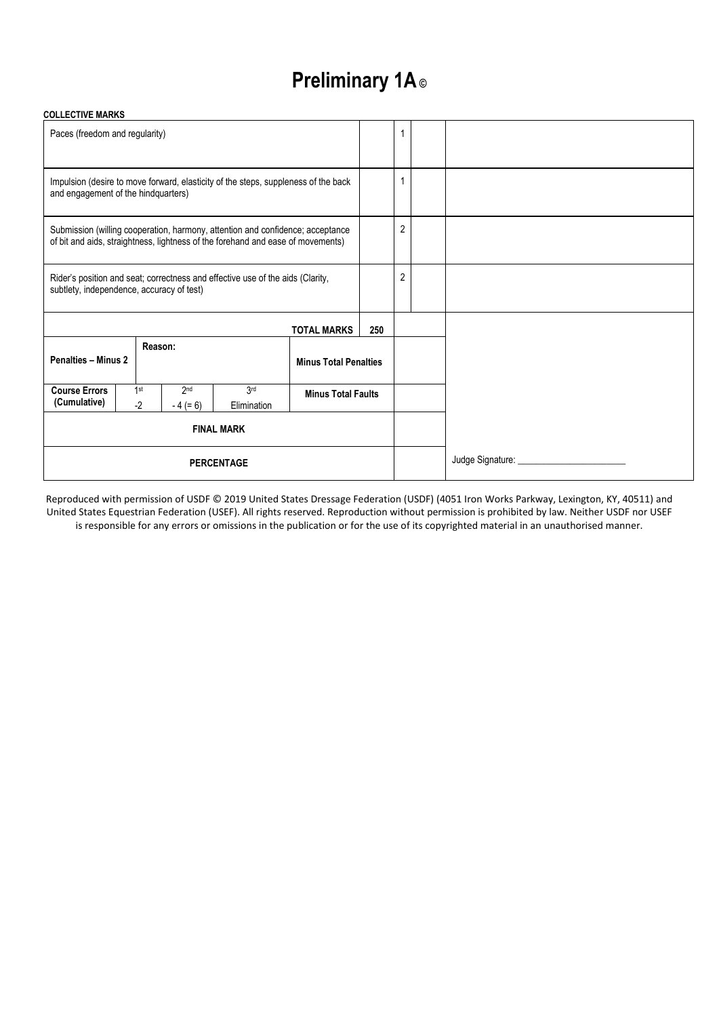# **Preliminary 1A ©**

#### **COLLECTIVE MARKS**

| Paces (freedom and regularity)                                                                                                                                    |  |             |                   |                    |                              |  |                |                                      |
|-------------------------------------------------------------------------------------------------------------------------------------------------------------------|--|-------------|-------------------|--------------------|------------------------------|--|----------------|--------------------------------------|
| Impulsion (desire to move forward, elasticity of the steps, suppleness of the back<br>and engagement of the hindquarters)                                         |  |             |                   |                    |                              |  |                |                                      |
| Submission (willing cooperation, harmony, attention and confidence; acceptance<br>of bit and aids, straightness, lightness of the forehand and ease of movements) |  |             |                   |                    |                              |  | $\overline{2}$ |                                      |
| Rider's position and seat; correctness and effective use of the aids (Clarity,<br>subtlety, independence, accuracy of test)                                       |  |             |                   |                    |                              |  | $\overline{2}$ |                                      |
| <b>TOTAL MARKS</b>                                                                                                                                                |  |             |                   |                    |                              |  |                |                                      |
| <b>Penalties - Minus 2</b>                                                                                                                                        |  | Reason:     |                   |                    | <b>Minus Total Penalties</b> |  |                |                                      |
| <b>Course Errors</b><br>(Cumulative)                                                                                                                              |  | 1st<br>$-2$ | 2nd<br>$-4 (= 6)$ | 3rd<br>Elimination | <b>Minus Total Faults</b>    |  |                |                                      |
| <b>FINAL MARK</b>                                                                                                                                                 |  |             |                   |                    |                              |  |                |                                      |
| <b>PERCENTAGE</b>                                                                                                                                                 |  |             |                   |                    |                              |  |                | Judge Signature: ___________________ |